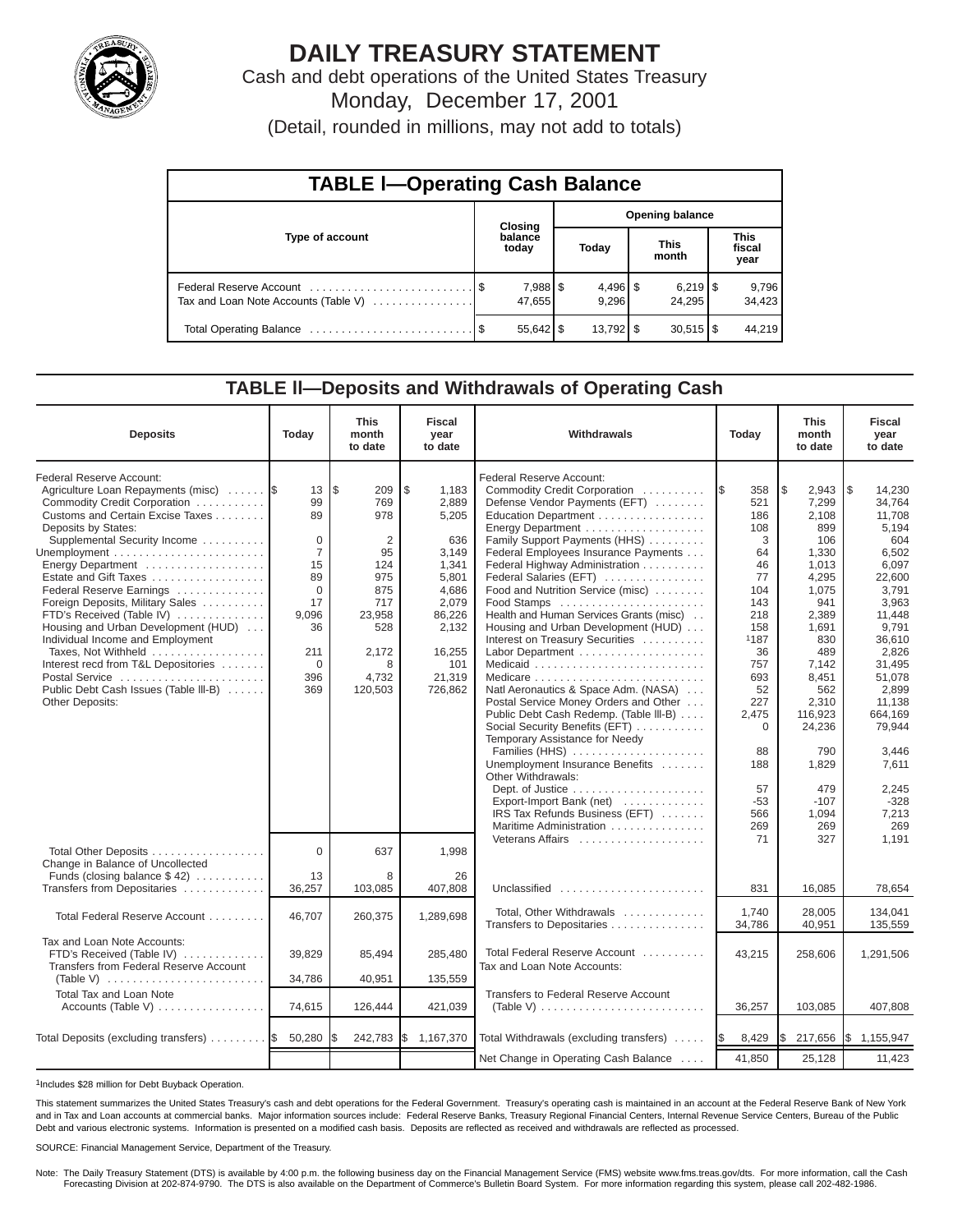

# **DAILY TREASURY STATEMENT**

Cash and debt operations of the United States Treasury Monday, December 17, 2001

(Detail, rounded in millions, may not add to totals)

| <b>TABLE I-Operating Cash Balance</b> |  |                    |                        |                        |  |                                 |                               |                 |  |  |
|---------------------------------------|--|--------------------|------------------------|------------------------|--|---------------------------------|-------------------------------|-----------------|--|--|
|                                       |  | <b>Closing</b>     | <b>Opening balance</b> |                        |  |                                 |                               |                 |  |  |
| Type of account                       |  | balance<br>today   |                        | Today                  |  | <b>This</b><br>month            | <b>This</b><br>fiscal<br>year |                 |  |  |
| Tax and Loan Note Accounts (Table V)  |  | 7,988 \$<br>47,655 |                        | $4,496$ \$<br>9,296    |  | $6,219$ $\frac{8}{3}$<br>24.295 |                               | 9,796<br>34,423 |  |  |
|                                       |  | $55,642$ \$        |                        | $13,792$ $\frac{8}{3}$ |  | $30,515$ $\frac{8}{3}$          |                               | 44,219          |  |  |

# **TABLE ll—Deposits and Withdrawals of Operating Cash**

| <b>Deposits</b>                                                                                                                                                                                                                                                                                                                                                                                                                                                                                                                                                    | Today                                                                                                                         | <b>This</b><br>month<br>to date                                                                                                 | <b>Fiscal</b><br>vear<br>to date                                                                                                           | Withdrawals                                                                                                                                                                                                                                                                                                                                                                                                                                                                                                                                                                                                                                                                                                                                                                                                             |                                                                                                                                                                                                  | <b>This</b><br>month<br>to date                                                                                                                                                                                                 | <b>Fiscal</b><br>year<br>to date                                                                                                                                                                                                                       |
|--------------------------------------------------------------------------------------------------------------------------------------------------------------------------------------------------------------------------------------------------------------------------------------------------------------------------------------------------------------------------------------------------------------------------------------------------------------------------------------------------------------------------------------------------------------------|-------------------------------------------------------------------------------------------------------------------------------|---------------------------------------------------------------------------------------------------------------------------------|--------------------------------------------------------------------------------------------------------------------------------------------|-------------------------------------------------------------------------------------------------------------------------------------------------------------------------------------------------------------------------------------------------------------------------------------------------------------------------------------------------------------------------------------------------------------------------------------------------------------------------------------------------------------------------------------------------------------------------------------------------------------------------------------------------------------------------------------------------------------------------------------------------------------------------------------------------------------------------|--------------------------------------------------------------------------------------------------------------------------------------------------------------------------------------------------|---------------------------------------------------------------------------------------------------------------------------------------------------------------------------------------------------------------------------------|--------------------------------------------------------------------------------------------------------------------------------------------------------------------------------------------------------------------------------------------------------|
| Federal Reserve Account:<br>Agriculture Loan Repayments (misc)<br>Commodity Credit Corporation<br>Customs and Certain Excise Taxes<br>Deposits by States:<br>Supplemental Security Income<br>Energy Department<br>Estate and Gift Taxes<br>Federal Reserve Earnings<br>Foreign Deposits, Military Sales<br>FTD's Received (Table IV)<br>Housing and Urban Development (HUD)<br>Individual Income and Employment<br>Taxes, Not Withheld<br>Interest recd from T&L Depositories<br>Postal Service<br>Public Debt Cash Issues (Table III-B)<br><b>Other Deposits:</b> | 13<br>99<br>89<br>$\mathbf 0$<br>$\overline{7}$<br>15<br>89<br>$\Omega$<br>17<br>9.096<br>36<br>211<br>$\Omega$<br>396<br>369 | l\$<br>209<br>769<br>978<br>$\overline{2}$<br>95<br>124<br>975<br>875<br>717<br>23,958<br>528<br>2,172<br>8<br>4,732<br>120,503 | \$<br>1,183<br>2,889<br>5,205<br>636<br>3,149<br>1,341<br>5.801<br>4,686<br>2,079<br>86,226<br>2,132<br>16,255<br>101<br>21,319<br>726,862 | Federal Reserve Account:<br>Commodity Credit Corporation<br>Defense Vendor Payments (EFT)<br>Education Department<br>Energy Department<br>Family Support Payments (HHS)<br>Federal Employees Insurance Payments<br>Federal Highway Administration<br>Federal Salaries (EFT)<br>Food and Nutrition Service (misc)<br>Food Stamps<br>Health and Human Services Grants (misc)<br>Housing and Urban Development (HUD)<br>Interest on Treasury Securities<br>Natl Aeronautics & Space Adm. (NASA)<br>Postal Service Money Orders and Other<br>Public Debt Cash Redemp. (Table III-B)<br>Social Security Benefits (EFT)<br>Temporary Assistance for Needy<br>Families (HHS)<br>Unemployment Insurance Benefits<br>Other Withdrawals:<br>Export-Import Bank (net)<br>IRS Tax Refunds Business (EFT)<br>Maritime Administration | 358<br><b>IS</b><br>521<br>186<br>108<br>3<br>64<br>46<br>77<br>104<br>143<br>218<br>158<br>1187<br>36<br>757<br>693<br>52<br>227<br>2,475<br>$\Omega$<br>88<br>188<br>57<br>$-53$<br>566<br>269 | l\$<br>2,943<br>7,299<br>2.108<br>899<br>106<br>1,330<br>1,013<br>4.295<br>1,075<br>941<br>2.389<br>1,691<br>830<br>489<br>7,142<br>8,451<br>562<br>2.310<br>116,923<br>24,236<br>790<br>1,829<br>479<br>$-107$<br>1,094<br>269 | 1\$<br>14,230<br>34,764<br>11,708<br>5,194<br>604<br>6,502<br>6,097<br>22.600<br>3,791<br>3,963<br>11.448<br>9,791<br>36.610<br>2,826<br>31,495<br>51,078<br>2.899<br>11.138<br>664,169<br>79,944<br>3,446<br>7,611<br>2,245<br>$-328$<br>7,213<br>269 |
| Total Other Deposits<br>Change in Balance of Uncollected                                                                                                                                                                                                                                                                                                                                                                                                                                                                                                           | $\mathbf{0}$                                                                                                                  | 637                                                                                                                             | 1,998                                                                                                                                      |                                                                                                                                                                                                                                                                                                                                                                                                                                                                                                                                                                                                                                                                                                                                                                                                                         | 71                                                                                                                                                                                               | 327                                                                                                                                                                                                                             | 1.191                                                                                                                                                                                                                                                  |
| Funds (closing balance $$42$ )<br>Transfers from Depositaries                                                                                                                                                                                                                                                                                                                                                                                                                                                                                                      | 13<br>36,257                                                                                                                  | 8<br>103,085                                                                                                                    | 26<br>407,808                                                                                                                              | Unclassified                                                                                                                                                                                                                                                                                                                                                                                                                                                                                                                                                                                                                                                                                                                                                                                                            | 831                                                                                                                                                                                              | 16,085                                                                                                                                                                                                                          | 78.654                                                                                                                                                                                                                                                 |
| Total Federal Reserve Account                                                                                                                                                                                                                                                                                                                                                                                                                                                                                                                                      | 46,707                                                                                                                        | 260,375                                                                                                                         | 1,289,698                                                                                                                                  | Total, Other Withdrawals<br>Transfers to Depositaries                                                                                                                                                                                                                                                                                                                                                                                                                                                                                                                                                                                                                                                                                                                                                                   | 1.740<br>34,786                                                                                                                                                                                  | 28.005<br>40.951                                                                                                                                                                                                                | 134.041<br>135.559                                                                                                                                                                                                                                     |
| Tax and Loan Note Accounts:<br>FTD's Received (Table IV)<br>Transfers from Federal Reserve Account<br>(Table V) $\ldots \ldots \ldots \ldots \ldots \ldots \ldots \ldots$                                                                                                                                                                                                                                                                                                                                                                                          | 39,829<br>34,786                                                                                                              | 85,494<br>40,951                                                                                                                | 285,480<br>135,559                                                                                                                         | Total Federal Reserve Account<br>Tax and Loan Note Accounts:                                                                                                                                                                                                                                                                                                                                                                                                                                                                                                                                                                                                                                                                                                                                                            | 43,215                                                                                                                                                                                           | 258,606                                                                                                                                                                                                                         | 1,291,506                                                                                                                                                                                                                                              |
| <b>Total Tax and Loan Note</b><br>Accounts (Table V)                                                                                                                                                                                                                                                                                                                                                                                                                                                                                                               | 74,615                                                                                                                        | 126,444                                                                                                                         | 421,039                                                                                                                                    | Transfers to Federal Reserve Account<br>(Table V) $\ldots \ldots \ldots \ldots \ldots \ldots \ldots \ldots$                                                                                                                                                                                                                                                                                                                                                                                                                                                                                                                                                                                                                                                                                                             | 36,257                                                                                                                                                                                           | 103,085                                                                                                                                                                                                                         | 407,808                                                                                                                                                                                                                                                |
| Total Deposits (excluding transfers)  \$                                                                                                                                                                                                                                                                                                                                                                                                                                                                                                                           | 50,280                                                                                                                        | 242,783                                                                                                                         | l\$<br>1,167,370                                                                                                                           | Total Withdrawals (excluding transfers)                                                                                                                                                                                                                                                                                                                                                                                                                                                                                                                                                                                                                                                                                                                                                                                 | 8,429                                                                                                                                                                                            | 217,656                                                                                                                                                                                                                         | 1,155,947<br><b>1\$</b>                                                                                                                                                                                                                                |
|                                                                                                                                                                                                                                                                                                                                                                                                                                                                                                                                                                    |                                                                                                                               |                                                                                                                                 |                                                                                                                                            | Net Change in Operating Cash Balance                                                                                                                                                                                                                                                                                                                                                                                                                                                                                                                                                                                                                                                                                                                                                                                    | 41.850                                                                                                                                                                                           | 25,128                                                                                                                                                                                                                          | 11,423                                                                                                                                                                                                                                                 |

1Includes \$28 million for Debt Buyback Operation.

This statement summarizes the United States Treasury's cash and debt operations for the Federal Government. Treasury's operating cash is maintained in an account at the Federal Reserve Bank of New York and in Tax and Loan accounts at commercial banks. Major information sources include: Federal Reserve Banks, Treasury Regional Financial Centers, Internal Revenue Service Centers, Bureau of the Public Debt and various electronic systems. Information is presented on a modified cash basis. Deposits are reflected as received and withdrawals are reflected as processed.

#### SOURCE: Financial Management Service, Department of the Treasury.

Note: The Daily Treasury Statement (DTS) is available by 4:00 p.m. the following business day on the Financial Management Service (FMS) website www.fms.treas.gov/dts. For more information, call the Cash<br>Forecasting Divisio